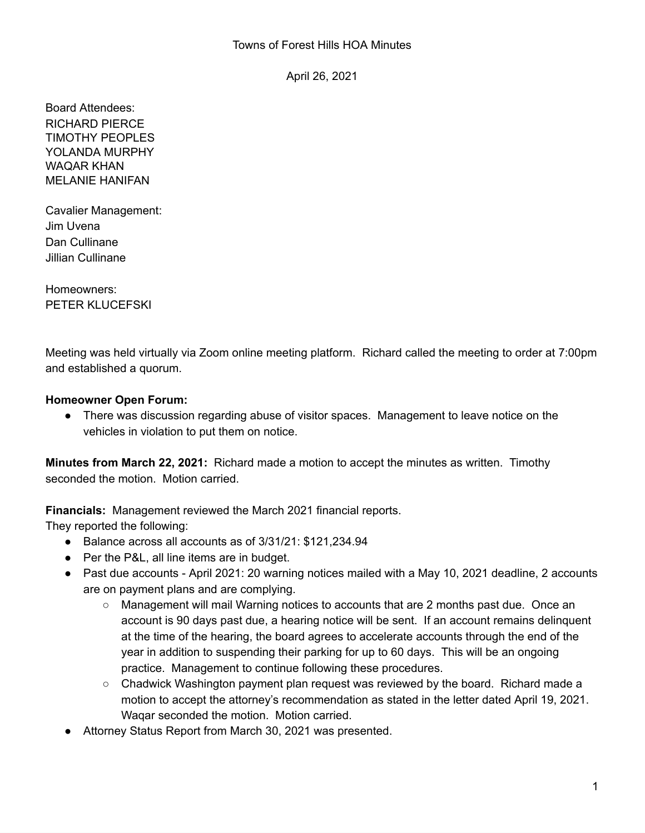April 26, 2021

Board Attendees: RICHARD PIERCE TIMOTHY PEOPLES YOLANDA MURPHY WAQAR KHAN MELANIE HANIFAN

Cavalier Management: Jim Uvena Dan Cullinane Jillian Cullinane

Homeowners: PETER KLUCEFSKI

Meeting was held virtually via Zoom online meeting platform. Richard called the meeting to order at 7:00pm and established a quorum.

## **Homeowner Open Forum:**

● There was discussion regarding abuse of visitor spaces. Management to leave notice on the vehicles in violation to put them on notice.

**Minutes from March 22, 2021:** Richard made a motion to accept the minutes as written. Timothy seconded the motion. Motion carried.

**Financials:** Management reviewed the March 2021 financial reports.

They reported the following:

- Balance across all accounts as of 3/31/21: \$121,234.94
- Per the P&L, all line items are in budget.
- Past due accounts April 2021: 20 warning notices mailed with a May 10, 2021 deadline, 2 accounts are on payment plans and are complying.
	- Management will mail Warning notices to accounts that are 2 months past due. Once an account is 90 days past due, a hearing notice will be sent. If an account remains delinquent at the time of the hearing, the board agrees to accelerate accounts through the end of the year in addition to suspending their parking for up to 60 days. This will be an ongoing practice. Management to continue following these procedures.
	- Chadwick Washington payment plan request was reviewed by the board. Richard made a motion to accept the attorney's recommendation as stated in the letter dated April 19, 2021. Waqar seconded the motion. Motion carried.
- Attorney Status Report from March 30, 2021 was presented.